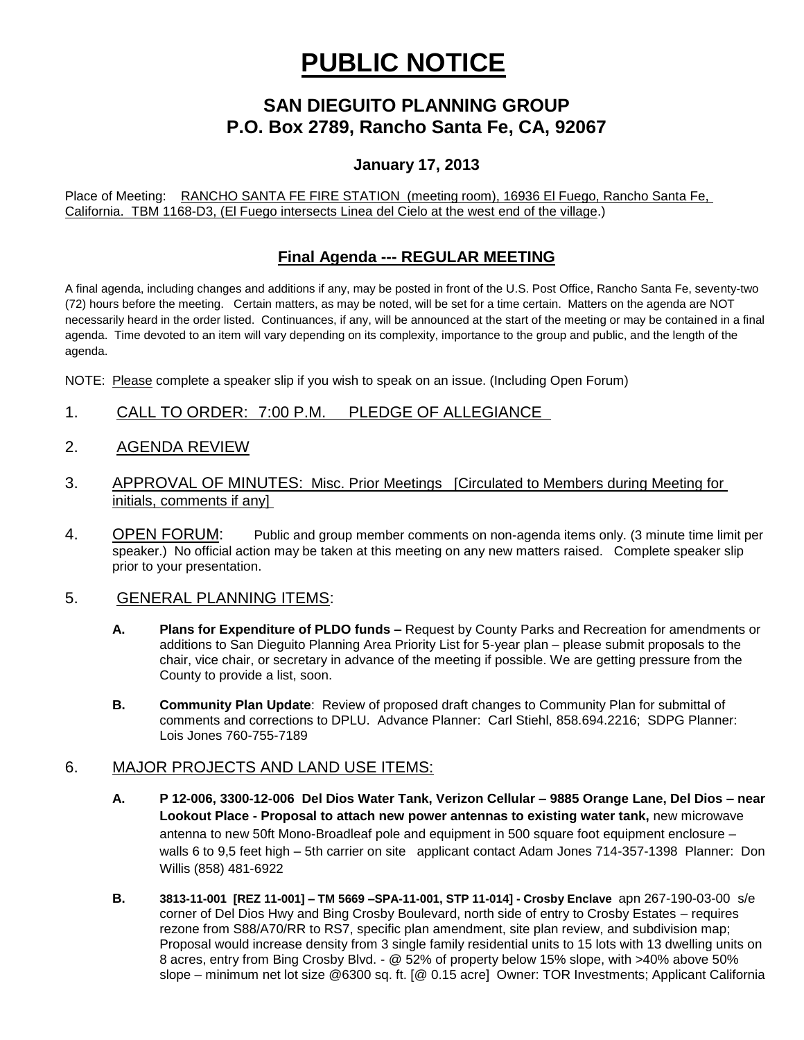# **PUBLIC NOTICE**

# **SAN DIEGUITO PLANNING GROUP P.O. Box 2789, Rancho Santa Fe, CA, 92067**

## **January 17, 2013**

Place of Meeting: RANCHO SANTA FE FIRE STATION (meeting room), 16936 El Fuego, Rancho Santa Fe, California. TBM 1168-D3, (El Fuego intersects Linea del Cielo at the west end of the village.)

### **Final Agenda --- REGULAR MEETING**

A final agenda, including changes and additions if any, may be posted in front of the U.S. Post Office, Rancho Santa Fe, seventy-two (72) hours before the meeting. Certain matters, as may be noted, will be set for a time certain. Matters on the agenda are NOT necessarily heard in the order listed. Continuances, if any, will be announced at the start of the meeting or may be contained in a final agenda. Time devoted to an item will vary depending on its complexity, importance to the group and public, and the length of the agenda.

NOTE: Please complete a speaker slip if you wish to speak on an issue. (Including Open Forum)

- 1. CALL TO ORDER: 7:00 P.M. PLEDGE OF ALLEGIANCE
- 2. AGENDA REVIEW
- 3. APPROVAL OF MINUTES: Misc. Prior Meetings [Circulated to Members during Meeting for initials, comments if any]
- 4. OPEN FORUM: Public and group member comments on non-agenda items only. (3 minute time limit per speaker.) No official action may be taken at this meeting on any new matters raised. Complete speaker slip prior to your presentation.

#### 5. GENERAL PLANNING ITEMS:

- **A. Plans for Expenditure of PLDO funds –** Request by County Parks and Recreation for amendments or additions to San Dieguito Planning Area Priority List for 5-year plan – please submit proposals to the chair, vice chair, or secretary in advance of the meeting if possible. We are getting pressure from the County to provide a list, soon.
- **B. Community Plan Update**: Review of proposed draft changes to Community Plan for submittal of comments and corrections to DPLU. Advance Planner: Carl Stiehl, 858.694.2216; SDPG Planner: Lois Jones 760-755-7189

#### 6. MAJOR PROJECTS AND LAND USE ITEMS:

- **A. P 12-006, 3300-12-006 Del Dios Water Tank, Verizon Cellular – 9885 Orange Lane, Del Dios – near Lookout Place - Proposal to attach new power antennas to existing water tank,** new microwave antenna to new 50ft Mono-Broadleaf pole and equipment in 500 square foot equipment enclosure – walls 6 to 9,5 feet high – 5th carrier on site applicant contact Adam Jones 714-357-1398 Planner: Don Willis (858) 481-6922
- **B. 3813-11-001 [REZ 11-001] – TM 5669 –SPA-11-001, STP 11-014] - Crosby Enclave** apn 267-190-03-00 s/e corner of Del Dios Hwy and Bing Crosby Boulevard, north side of entry to Crosby Estates – requires rezone from S88/A70/RR to RS7, specific plan amendment, site plan review, and subdivision map; Proposal would increase density from 3 single family residential units to 15 lots with 13 dwelling units on 8 acres, entry from Bing Crosby Blvd. - @ 52% of property below 15% slope, with >40% above 50% slope – minimum net lot size @6300 sq. ft. [@ 0.15 acre] Owner: TOR Investments; Applicant California